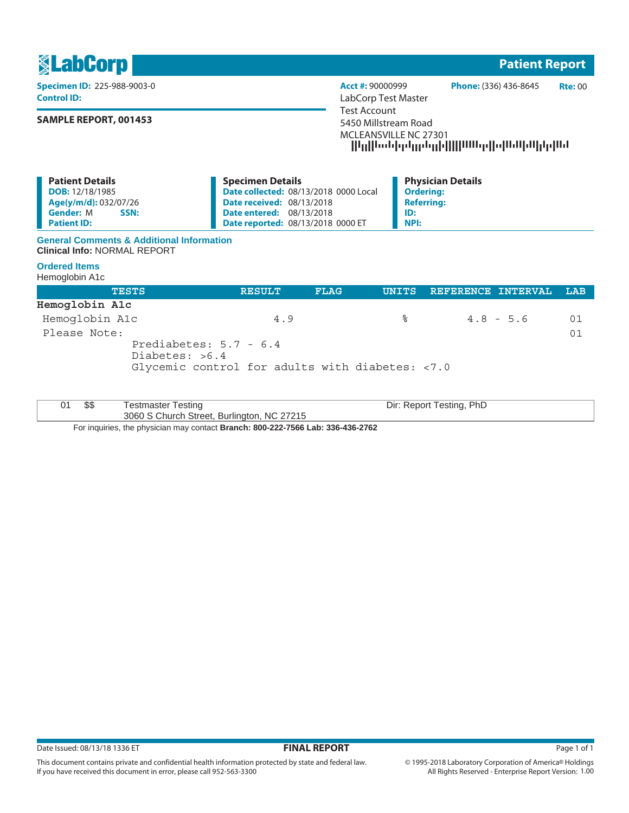

 Prediabetes: 5.7 - 6.4 Diabetes: >6.4 Glycemic control for adults with diabetes: <7.0

| ጦ<br>აა | Testmaster Testing                         | Dir:<br>: Report Testing, PhD |
|---------|--------------------------------------------|-------------------------------|
|         | 3060 S Church Street, Burlington, NC 27215 |                               |

Please Note: 01

For inquiries, the physician may contact **Branch: 800-222-7566 Lab: 336-436-2762**

This document contains private and confidential health information protected by state and federal law.

If you have received this document in error, please call 952-563-3300

1 **Patient Report**